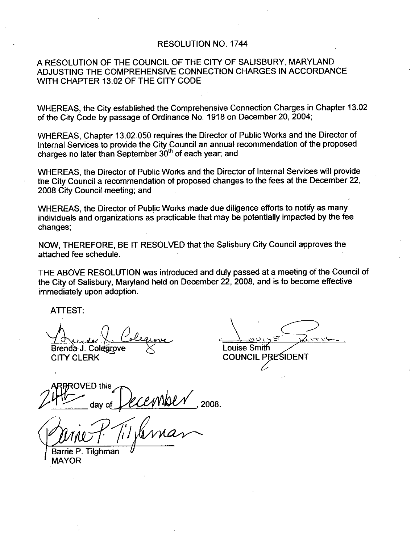#### RESOLUTION NO. 1744

## A RESOLUTION OF THE COUNCIL OF THE CITY OF SALISBURY MARYLAND ADJUSTING THE COMPREHENSIVE CONNECTION CHARGES IN ACCORDANCE WITH CHAPTER 1302OF THE CITY CODE

WHEREAS, the City established the Comprehensive Connection Charges in Chapter 13.02

of the City Code by passage of Ordinance No. 1918 on December 20, 2004;<br>WHEREAS, Chapter 13.02.050 requires the Director of Public Works and the Director of<br>Internal Services to provide the City Council an annual recommend WHEREAS, Chapter 13.02.050 requires the Director of Public Works and the Director of Internal Services to provide the City Council an annual recommendation of the proposed charges no later than September  $30<sup>th</sup>$  of each year; and

WHEREAS the Director of Public Works and the Director of Internal Services will provide the City Council <sup>a</sup> recommendation of proposed changes to the fees at the December 22 2008 City Council meeting; and

WHEREAS, the Director of Public Works made due diligence efforts to notify as many individuals and organizations as practicable that may be potentially impacted by the fee changes

NOW, THEREFORE, BE IT RESOLVED that the Salisbury City Council approves the attached fee schedule

THE ABOVE RESOLUTION was introduced and duly passed at a meeting of the Council of the City of Salisbury, Maryland held on December 22, 2008, and is to become effective immediately upon adoption.

ATTEST

Brenda J. Colegrove  $\lesssim$  Louise Smith<br>CITY CLERK COUNCIL PF

COUNCIL PRESIDENT

D this mbe Colearove  $\times$ <br>RK<br>day of *DECEMPLY*<br> $\frac{1}{2008}$ 

Barrie P. Tilghman MAYOR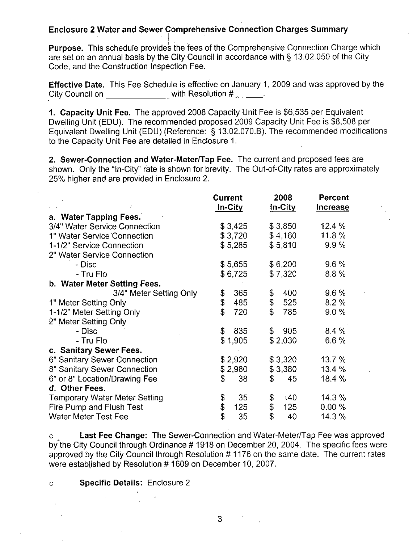## Enclosure <sup>2</sup> Water and Sewer Comprehensive Connection Charges Summary

**Purpose.** This schedule provides the fees of the Comprehensive Connection Charge which are set on an annual basis by the City Council in accordance with § 13.02.050 of the City Code, and the Construction Inspection Fee.

Effective Date. This Fee Schedule is effective on January 1, 2009 and was approved by the<br>City Council on \_\_\_\_\_\_\_\_\_\_\_\_\_\_with Resolution # \_\_\_\_\_\_\_.<br>1. Capacity Unit Fee. The approved 2008 Capacity Unit Fee is \$6,535 per Equ City Council on \_\_\_\_\_\_\_\_\_\_\_\_\_ with Resolution #

1. Capacity Unit Fee. The approved 2008 Capacity Unit Fee is \$6,535 per Equivalent Dwelling Unit (EDU). The recommended proposed 2009 Capacity Unit Fee is \$8,508 per Equivalent Dwelling Unit (EDU) (Reference:  $\S$  13.02.070.B). The recommended modifications to the Capacity Unit Fee are detailed in Enclosure 1

2. Sewer-Connection and Water-Meter/Tap Fee. The current and proposed fees are shown. Only the "In-City" rate is shown for brevity. The Out-of-City rates are approximately 25% higher and are provided in Enclosure 2.

|                                      | <b>Current</b><br><u>In-City</u> | 2008<br>In-City      | <b>Percent</b><br><b>Increase</b> |
|--------------------------------------|----------------------------------|----------------------|-----------------------------------|
| a. Water Tapping Fees.               |                                  |                      |                                   |
| 3/4" Water Service Connection        | \$3,425                          | \$3,850              | 12.4 %                            |
| 1" Water Service Connection          | \$3,720                          | \$4,160              | 11.8 %                            |
| 1-1/2" Service Connection            | \$5,285                          | \$5,810              | 9.9%                              |
| 2" Water Service Connection          |                                  |                      |                                   |
| - Disc                               | \$5,655                          | \$6,200              | $9.6\%$                           |
| - Tru Flo                            | \$6,725                          | \$7,320              | 8.8%                              |
| b. Water Meter Setting Fees.         |                                  |                      |                                   |
| 3/4" Meter Setting Only              | \$<br>365                        | \$<br>400            | $9.6\%$                           |
| 1" Meter Setting Only                | \$<br>485                        | $\mathfrak s$<br>525 | 8.2%                              |
| 1-1/2" Meter Setting Only            | \$<br>720                        | $\mathbb{S}$<br>785  | 9.0%                              |
| 2" Meter Setting Only                |                                  |                      |                                   |
| - Disc                               | \$<br>835                        | \$905                | 8.4%                              |
| - Tru Flo                            | \$1,905                          | \$2,030              | 6.6%                              |
| c. Sanitary Sewer Fees.              |                                  |                      |                                   |
| 6" Sanitary Sewer Connection         | \$2,920                          | \$3,320              | 13.7%                             |
| 8" Sanitary Sewer Connection         | \$2,980                          | \$3,380              | 13.4%                             |
| 6" or 8" Location/Drawing Fee        | 38<br>\$                         | 45<br>\$             | 18.4 %                            |
| d. Other Fees.                       |                                  |                      |                                   |
| <b>Temporary Water Meter Setting</b> | \$<br>35                         | \$<br>.40            | 14.3%                             |
| Fire Pump and Flush Test             | \$<br>125                        | \$<br>125            | 0.00 %                            |
| <b>Water Meter Test Fee</b>          | \$<br>35                         | \$<br>40             | 14.3 %                            |

o Last Fee Change: The Sewer-Connection and Water-Meter/Tap Fee was approved by the City Council through Ordinance #1918 on December 20, 2004. The specific fees were approved by the City Council through Resolution #1176 on the same date. The current rates were established by Resolution #1609 on December 10, 2007.

### o **Specific Details: Enclosure 2**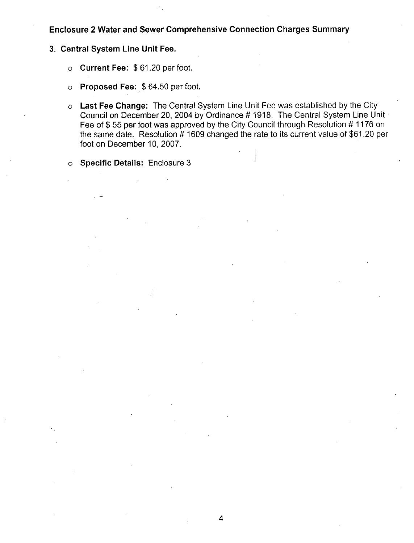## Enclosure <sup>2</sup> Water and Sewer Comprehensive Connection Charges Summary

- 3. Central System Line Unit Fee.
	- o Current Fee:  $$61.20$  per foot.
	- o Proposed Fee: \$64.50 per foot.
	- o Last Fee Change: The Central System Line Unit Fee was established by the City Council on December 20, 2004 by Ordinance # 1918. The Central System Line Unit Fee of \$55 per foot was approved by the City Council through Resolution #1176 on the same date. Resolution  $#1609$  changed the rate to its current value of \$61.20 per foot on December 10, 2007.

o Specific Details: Enclosure 3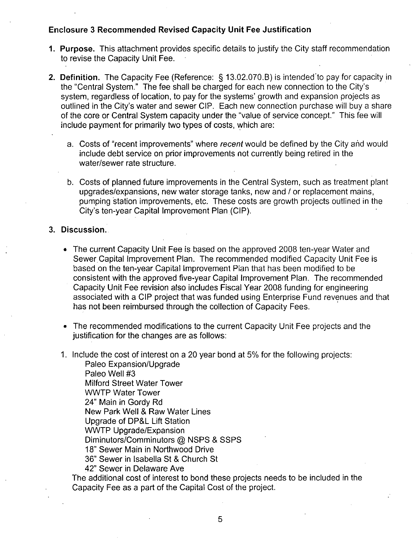- 1. Purpose. This attachment provides specific details to justify the City staff recommendation to revise the Capacity Unit Fee
- Enclosure 3 Recommended Revised Capacity Unit Fee Justification<br>
1. Purpose. This attachment provides specific details to justify the City staff recommendation<br>
to revise the Capacity Unit Fee.<br>
2. Definition. The Capacity to revise the Capacity Ont Pee.<br> **Definition.** The Capacity Fee (Reference: § 13.02.070.B) is intended to pay for capacit<br>
the "Central System." The fee shall be charged for each new connection to the City's<br>
system, regar berifficin. The Cap<br>the "Central System.<br>system, regardless c<br>outlined in the City's<br>of the core or Centra water and sewer CIP. Each new connection purchase will buy a share of the core or Central System capacity under the "value of service concept." This fee will include payment for primarily two types of costs, which are:
	- a. Costs of "recent improvements" where recent would be defined by the City and would include debt service on prior improvements not currently being retired in the water/sewer rate structure.
	- b. Costs of planned future improvements in the Central System, such as treatment plant Costs of planned future improvements in the Central System, such as treatment pupgrades/expansions, new water storage tanks, new and / or replacement mains, pumping station improvements, etc. These costs are growth project pumping station improvements, etc. These costs are growth projects outlined in the City's ten-year Capital Improvement Plan (CIP).
- 3. Discussion.
	- The current Capacity Unit Fee is based on the approved 2008 ten-year Water and Sewer Capital Improvement Plan. The recommended modified Capacity Unit Fee is based on the ten-year Capital Improvement Plan that has been modified to be consistent with the approved five-year Capital Improvement Plan. The recommended Capacity Unit Fee revision also includes Fiscal Year 2008 funding for engineering associated with <sup>a</sup> CIP project that was funded using Enterprise Fund revenues and that has not been reimbursed through the collection of Capacity Fees
	- The recommended modifications to the current Capacity Unit Fee projects and the justification for the changes are as follows:
	- 1. Include the cost of interest on a 20 year bond at 5% for the following projects:

Paleo Expansion/Upgrade Paleo Well #3 Milford Street Water Tower WWTP Water Tower 24" Main in Gordy Rd New Park Well & Raw Water Lines VVVVTP VVater Tower<br>24" Main in Gordy Rd<br>New Park Well & Raw Water<br>Upgrade of DP&L Lift Statior<br>WWTP Upgrade/Expansion Upgrade of DP&L Lift Station<br>WWTP Upgrade/Expansion WWTP Upgrade/Expansion<br>Diminutors/Comminutors @ NSPS & SSPS<br>18" Sewer Main in Northwood Drive<br>36" Sewer in Isabella St & Church St 36" Sewer in Isabella St & Church St

42" Sewer in Delaware Ave

The additional cost of interest to bond these projects needs to be included in the Capacity Fee as <sup>a</sup> part of the Capital Cost of the project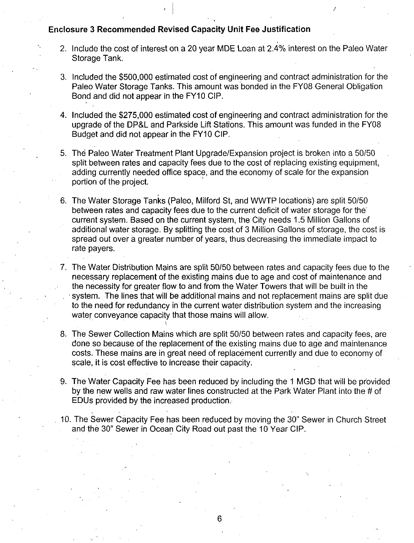F

- 2. Include the cost of interest on a 20 year MDE Loan at 2.4% interest on the Paleo Water Storage Tank
- 3. Included the \$500,000 estimated cost of engineering and contract administration for the Paleo Water Storage Tanks. This amount was bonded in the FY08 General Obligation Bond and did not appear in the FY10 CIP
- 4. Included the \$275,000 estimated cost of engineering and contract administration for the upgrade of the DP&L and Parkside Lift Stations. This amount was funded in the FY08 Budget and did not appear in the FY10 CIP.
- 5. The Paleo Water Treatment Plant Upgrade/Expansion project is broken into a 50/50 split between rates and capacity fees due to the cost of replacing existing equipment. adding currently needed office space, and the economy of scale for the expansion portion of the project 5. The Paleo Water Treatment Plant Upgrade/Expansion project is bro<br>split between rates and capacity fees due to the cost of replacing ex<br>adding currently needed office space, and the economy of scale for<br>portion of the pr
- are split 50 between rates and capacity fees due to the current deficit of water storage for the current system. Based on the current system, the City needs 1.5 Million Gallons of additional water storage. By splitting the cost of 3 Million Gallons of storage, the cost is spread out over a greater number of years, thus decreasing the immediate impact to rate payers
- 7 The Water Distribution Mains are split <sup>50150</sup> between rates and capacity fees due to the necessary replacement of the existing mains due to age and cost of maintenance and the necessity for greater flow to and from the Water Towers that will be built in the system. The lines that will be additional mains and not replacement mains are split due to the need for redundancy in the current water distribution system and the increasing water conveyance capacity that those mains will allow
- 8. The Sewer Collection Mains which are split 50/50 between rates and capacity fees, are done so because of the replacement of the existing mains due to age and maintenance costs These mains are in great need of replacement currently and due to economy of scale, it is cost effective to increase their capacity.
- 9. The Water Capacity Fee has been reduced by including the 1 MGD that will be provided by the new wells and raw water lines constructed at the Park Water Plant into the  $\#$  of EDUs provided by the increased production
- 10. The Sewer Capacity Fee has been reduced by moving the 30" Sewer in Church Street and the 30" Sewer in Ocean City Road out past the 10 Year CIP.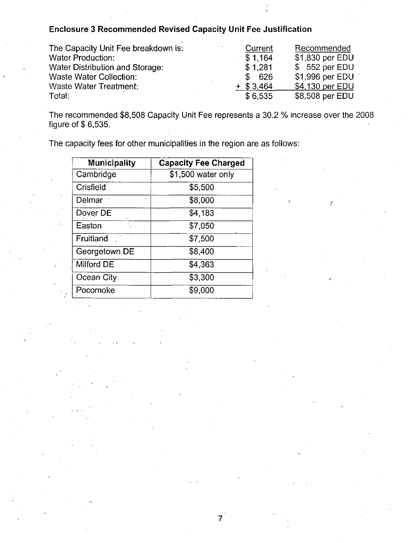| The Capacity Unit Fee breakdown is:                                                                          | Current      | Recommended     |
|--------------------------------------------------------------------------------------------------------------|--------------|-----------------|
| <b>Water Production:</b>                                                                                     | \$1,164      | \$1,830 per EDU |
| Water Distribution and Storage:                                                                              | \$1,281      | \$552 per EDU   |
| <b>Waste Water Collection:</b>                                                                               | - 626<br>S.  | \$1,996 per EDU |
| Waste Water Treatment:                                                                                       | $+$ \$ 3.464 | \$4,130 per EDU |
| Total:                                                                                                       | \$6.535      | \$8,508 per EDU |
| The recommended \$8,508 Capacity Unit Fee represents a 30.2 % increase over the 2008<br>figure of $$6,535$ . |              |                 |

Total:<br>The recommende<br>figure of \$ 6,535.

7

r

| <b>Municipality</b> | <b>Capacity Fee Charged</b> |
|---------------------|-----------------------------|
| Cambridge           | \$1,500 water only          |
| Crisfield           | \$5,500                     |
| Delmar              | \$8,000                     |
| Dover DE            | \$4,183                     |
| Easton              | \$7,050                     |
| Fruitland           | \$7,500                     |
| Georgetown DE       | \$8,400                     |
| Milford DE          | \$4,363                     |
| Ocean City          | \$3,300                     |
| Pocomoke            | \$9,000                     |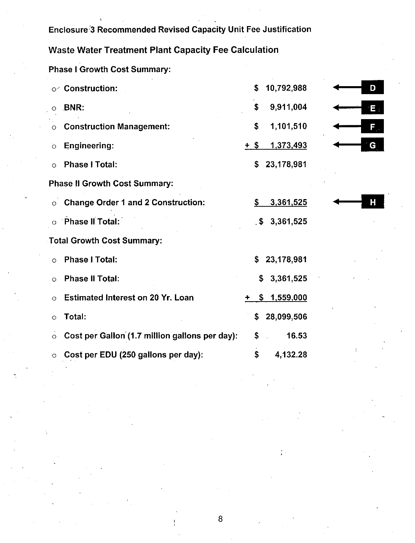|         | Enclosure <sup>2</sup> 3 Recommended Revised Capacity Unit Fee Justification |      |                    |  |    |
|---------|------------------------------------------------------------------------------|------|--------------------|--|----|
|         | <b>Waste Water Treatment Plant Capacity Fee Calculation</b>                  |      |                    |  |    |
|         | <b>Phase I Growth Cost Summary:</b>                                          |      |                    |  |    |
|         | <b>Construction:</b>                                                         | \$   | 10,792,988         |  | D  |
| O       | <b>BNR:</b>                                                                  | \$   | 9,911,004          |  | E. |
| $\circ$ | <b>Construction Management:</b>                                              | \$   | 1,101,510          |  | F. |
| $\circ$ | <b>Engineering:</b>                                                          | + \$ | <u>1.373,493</u>   |  | G  |
| O       | <b>Phase I Total:</b>                                                        | \$   | 23,178,981         |  |    |
|         | <b>Phase II Growth Cost Summary:</b>                                         |      |                    |  |    |
| $\circ$ | <b>Change Order 1 and 2 Construction:</b>                                    | \$   | 3,361,525          |  | Н  |
|         | Phase II Total:                                                              | . \$ | 3,361,525          |  |    |
|         | <b>Total Growth Cost Summary:</b>                                            |      |                    |  |    |
| O       | <b>Phase I Total:</b>                                                        |      | 23,178,981         |  |    |
| O       | <b>Phase II Total:</b>                                                       | \$   | 3,361,525          |  |    |
| Ο       | <b>Estimated Interest on 20 Yr. Loan</b>                                     |      | <u>\$1,559,000</u> |  |    |
| ∘       | Total:                                                                       | \$   | 28,099,506         |  |    |
| O       | Cost per Gallon (1.7 million gallons per day):                               | \$   | 16.53              |  |    |
|         | Cost per EDU (250 gallons per day):                                          | \$   | 4,132.28           |  |    |
|         |                                                                              |      |                    |  |    |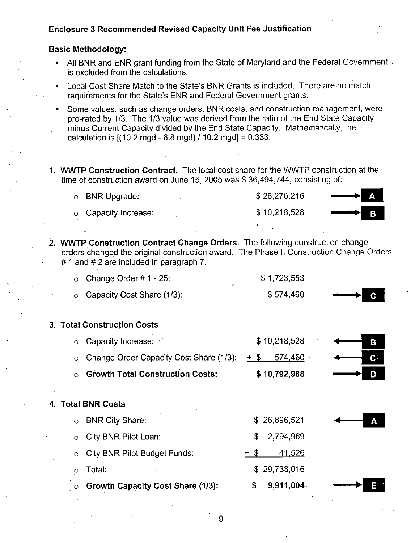## Basic Methodology

- All BNR and ENR grant funding from the State of Maryland and the Federal Government is excluded from the calculations Local Cost Share Match in the State of Maryland and the Federal Govern<br>is excluded from the calculations.<br>Local Cost Share Match to the State's BNR Grants is included. There are no match<br>requirements for the State's ENR an All BNR and ENR grant funding from the State of Maryland and the<br>is excluded from the calculations.<br>Local Cost Share Match to the State's BNR Grants is included. The<br>quirements for the State's ENR and Federal Government gr
- 
- Some values, such as change orders, BNR costs, and construction management, were<br>pro-rated by 1/3. The 1/3 value was derived from the ratio of the End State Capacity<br>minus Current Capacity divided by the End State Capacity minus Current Capacity divided by the End State Capacity. Mathematically, the pro-rated by 1/3. The 1/3 value was derived from the ratio of the End State Capacity<br>minus Current Capacity divided by the End State Capacity. Mathematically, the<br>calculation is  $[(10.2 \text{ mgd} - 6.8 \text{ mgd}) / 10.2 \text{ mgd}] = 0.333$
- 1. WWTP Construction Contract. The local cost share for the WWTP construction at the **WWTP Construction Contract.** The local cost share for the WWTP construction award on June 15, 2005 was \$36,494,744, consisting of:

| e of construction award on June 15, 2005 was \$36,494,744, consisting of: |              |     |
|---------------------------------------------------------------------------|--------------|-----|
| $\circ$ BNR Upgrade:                                                      | \$26,276,216 | ÆV. |
| o Capacity Increase:                                                      | \$10,218,528 | Β   |
|                                                                           |              |     |

|         | o BNR Upgrade:                                                                                                                                                                                                     |        | \$26,276,216 |    |
|---------|--------------------------------------------------------------------------------------------------------------------------------------------------------------------------------------------------------------------|--------|--------------|----|
| O       | Capacity Increase:                                                                                                                                                                                                 |        | \$10,218,528 |    |
|         |                                                                                                                                                                                                                    |        |              |    |
|         | 2. WWTP Construction Contract Change Orders. The following construction change<br>orders changed the original construction award. The Phase II Construction Change Order<br>#1 and #2 are included in paragraph 7. |        |              |    |
| $\circ$ | Change Order $# 1 - 25$ :                                                                                                                                                                                          |        | \$1,723,553  |    |
| $\circ$ | Capacity Cost Share (1/3):                                                                                                                                                                                         |        | \$574,460    |    |
|         | 3. Total Construction Costs                                                                                                                                                                                        |        |              |    |
| $\circ$ | Capacity Increase:                                                                                                                                                                                                 |        | \$10,218,528 | В  |
| O       | Change Order Capacity Cost Share (1/3):                                                                                                                                                                            | $+$ \$ | 574,460      | C۰ |
|         | <b>Growth Total Construction Costs:</b>                                                                                                                                                                            |        | \$10,792,988 |    |
|         | 4. Total BNR Costs                                                                                                                                                                                                 |        |              |    |
| $\circ$ | <b>BNR City Share:</b>                                                                                                                                                                                             | \$.    | 26,896,521   |    |
| $\circ$ | <b>City BNR Pilot Loan:</b>                                                                                                                                                                                        |        | 2,794,969    |    |
| $\circ$ | <b>City BNR Pilot Budget Funds:</b>                                                                                                                                                                                | + \$   | 41,526       |    |
| $\circ$ | Total:                                                                                                                                                                                                             |        | \$29,733,016 |    |
|         | <b>Growth Capacity Cost Share (1/3):</b>                                                                                                                                                                           | S      | 9,911,004    |    |
|         |                                                                                                                                                                                                                    |        |              |    |

9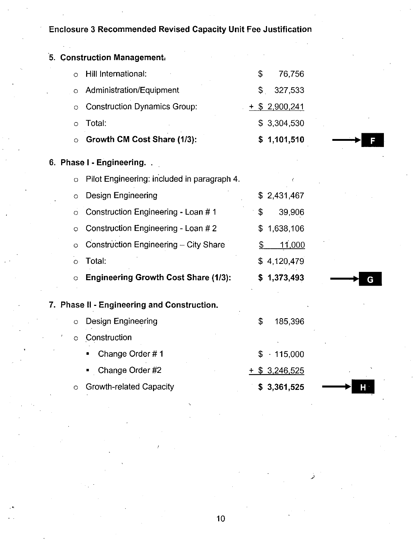|              | 5. Construction Management.                 |               |                  |   |  |
|--------------|---------------------------------------------|---------------|------------------|---|--|
| $\circ$      | Hill International:                         | \$            | 76,756           |   |  |
| O            | Administration/Equipment                    | \$.           | 327,533          |   |  |
| $\circ$      | <b>Construction Dynamics Group:</b>         |               | $+$ \$ 2,900,241 |   |  |
| $\circ$      | Total:                                      |               | \$3,304,530      |   |  |
| $\circ$      | Growth CM Cost Share (1/3):                 |               | \$1,101,510      |   |  |
|              | 6. Phase I - Engineering.                   |               |                  |   |  |
| $\circ$      | Pilot Engineering: included in paragraph 4. |               |                  |   |  |
| O            | Design Engineering                          |               | \$2,431,467      |   |  |
| O            | Construction Engineering - Loan #1          | \$            | 39,906           |   |  |
| O            | Construction Engineering - Loan # 2         | \$            | 1,638,106        |   |  |
| O            | Construction Engineering - City Share       | $\frac{1}{2}$ | <u>11,000</u>    |   |  |
| $\mathbf{O}$ | Total:                                      |               | \$4,120,479      |   |  |
| $\circ$      | <b>Engineering Growth Cost Share (1/3):</b> |               | \$1,373,493      | G |  |
|              | 7. Phase II - Engineering and Construction. |               |                  |   |  |
| $\circ$      | Design Engineering                          | \$            | 185,396          |   |  |
| O            | Construction                                |               |                  |   |  |
|              | Change Order #1                             | \$            | $+115,000$       |   |  |
|              | Change Order #2                             |               | \$3,246,525      |   |  |
| $\circ$      | <b>Growth-related Capacity</b>              |               | \$3,361,525      | Н |  |
|              |                                             |               |                  |   |  |

10

لر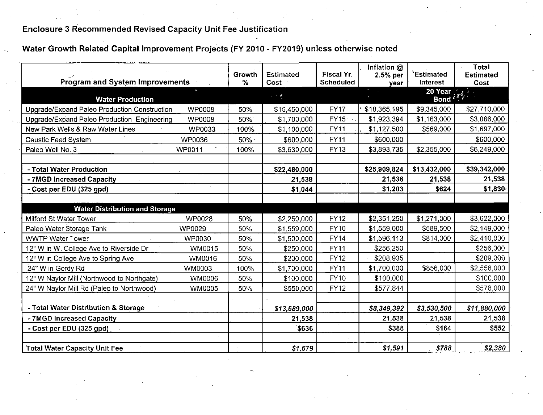Water Growth Related Capital Improvement Projects (FY 2010 - FY2019) unless otherwise noted

| <b>Program and System Improvements</b>       |               | Growth<br>$\%$ | <b>Estimated</b><br>Cost · | Fiscal Yr.<br><b>Scheduled</b> | Inflation @<br>2.5% per<br>year | 'Estimated<br><b>Interest</b> | <b>Total</b><br><b>Estimated</b><br>Cost  |
|----------------------------------------------|---------------|----------------|----------------------------|--------------------------------|---------------------------------|-------------------------------|-------------------------------------------|
| <b>Water Production</b>                      |               |                | $\sim$ $\sim$ $\theta$     |                                | $\sim$                          | 20 Year<br>Bond $\frac{1}{2}$ | $\sigma_{\rm{max}}$ , $\sigma_{\rm{max}}$ |
| Upgrade/Expand Paleo Production Construction | <b>WP0008</b> | 50%            | \$15,450,000               | <b>FY17</b>                    | \$18,365,195                    | \$9,345,000                   | \$27,710,000                              |
| Upgrade/Expand Paleo Production Engineering  | <b>WP0008</b> | 50%            | \$1,700,000                | <b>FY15</b>                    | \$1,923,394                     | \$1,163,000                   | \$3,086,000                               |
| New Park Wells & Raw Water Lines             | <b>WP0033</b> | 100%           | \$1,100,000                | <b>FY11</b>                    | \$1,127,500                     | \$569,000                     | \$1,697,000                               |
| <b>Caustic Feed System</b>                   | WP0036        | $50\%$         | \$600,000                  | <b>FY11</b>                    | \$600,000                       |                               | \$600,000                                 |
| Paleo Well No. 3                             | WP0011        | 100%           | \$3,630,000                | <b>FY13</b>                    | \$3,893,735                     | \$2,355,000                   | \$6,249,000                               |
|                                              |               |                |                            |                                |                                 |                               |                                           |
| - Total Water Production                     |               |                | \$22,480,000               |                                | \$25,909,824                    | \$13,432,000                  | \$39,342,000                              |
| - 7MGD Increased Capacity                    |               |                | 21,538                     |                                | 21,538                          | 21,538                        | 21,538                                    |
| - Cost per EDU (325 gpd)                     |               |                | \$1,044                    |                                | \$1,203                         | \$624                         | \$1,830                                   |
|                                              |               |                |                            |                                |                                 |                               |                                           |
| <b>Water Distribution and Storage</b>        |               |                |                            |                                |                                 |                               |                                           |
| Milford St Water Tower                       | WP0028        | 50%            | \$2,250,000                | <b>FY12</b>                    | \$2,351,250                     | \$1,271,000                   | \$3,622,000                               |
| Paleo Water Storage Tank                     | <b>WP0029</b> | 50%            | \$1,559,000                | <b>FY10</b>                    | \$1,559,000                     | \$589,500                     | \$2,149,000                               |
| <b>WWTP Water Tower</b>                      | WP0030        | 50%            | \$1,500,000                | <b>FY14</b>                    | \$1,596,113                     | \$814,000                     | \$2,410,000                               |
| 12" W in W. College Ave to Riverside Dr      | <b>WM0015</b> | 50%            | \$250,000                  | <b>FY11</b>                    | \$256,250                       |                               | \$256,000                                 |
| 12" W in College Ave to Spring Ave           | WM0016        | 50%            | \$200,000                  | <b>FY12</b>                    | \$208,935                       |                               | \$209,000                                 |
| 24" W in Gordy Rd                            | <b>WM0003</b> | 100%           | \$1,700,000                | <b>FY11</b>                    | \$1,700,000                     | \$856,000                     | \$2,556,000                               |
| 12" W Naylor Mill (Northwood to Northgate)   | WM0006        | 50%            | \$100,000                  | FY10                           | \$100,000                       |                               | \$100,000                                 |
| 24" W Naylor Mill Rd (Paleo to Northwood)    | WM0005        | 50%            | \$550,000                  | <b>FY12</b>                    | \$577,844                       |                               | \$578,000                                 |
|                                              |               |                |                            |                                |                                 |                               |                                           |
| - Total Water Distribution & Storage         |               |                | \$13,689,000               |                                | \$8,349,392                     | \$3,530,500                   | \$11,880,000                              |
| - 7MGD Increased Capacity                    |               |                | 21,538                     |                                | 21,538                          | 21,538                        | 21,538                                    |
| - Cost per EDU (325 gpd)                     |               |                | \$636                      |                                | \$388                           | \$164                         | \$552                                     |
|                                              |               |                |                            |                                |                                 |                               |                                           |
| <b>Total Water Capacity Unit Fee</b>         |               |                | \$1,679                    |                                | \$1,591                         | \$788                         | \$2,380                                   |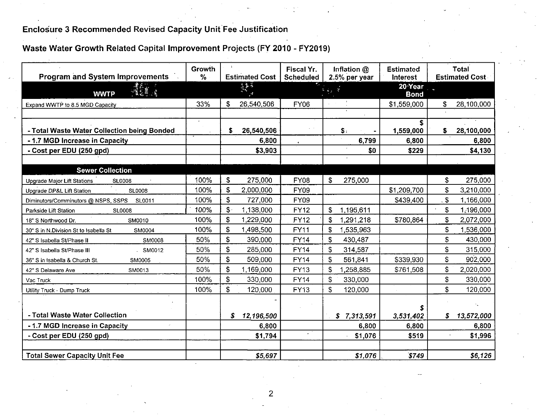## Therated Capital Improvement Projects (1 | 2010 - PT2015

| <b>Program and System Improvements</b>          | Growth<br>$\%$ | <b>Estimated Cost</b>     | Fiscal Yr.<br><b>Scheduled</b> | Inflation @<br>2.5% per year | <b>Estimated</b><br>Interest |             | <b>Total</b><br><b>Estimated Cost-</b> |
|-------------------------------------------------|----------------|---------------------------|--------------------------------|------------------------------|------------------------------|-------------|----------------------------------------|
| <b>WWTP</b>                                     |                | 浮散等                       |                                |                              | 20 Year<br><b>Bond</b>       |             |                                        |
| Expand WWTP to 8.5 MGD Capacity                 | 33%            | 26,540,506<br>\$          | <b>FY06</b>                    |                              | \$1,559,000                  |             | 28,100,000                             |
| - Total Waste Water Collection being Bonded     |                | 26,540,506<br>\$          |                                | \$.                          | s<br>1,559,000               | S.          | 28,100,000                             |
| - 1.7 MGD Increase in Capacity                  |                | 6,800                     |                                | 6,799                        | 6,800                        |             | 6,800                                  |
| - Cost per EDU (250 gpd)                        |                | \$3,903                   |                                | \$0                          | \$229                        |             | \$4,130                                |
| <b>Sewer Collection</b>                         |                |                           |                                |                              |                              |             |                                        |
| Upgrade Major Lift Stations<br><b>SL0008</b>    | 100%           | $\mathfrak{s}$<br>275,000 | <b>FY08</b>                    | \$<br>275,000                |                              | $\mathsf S$ | 275,000                                |
| Upgrade DP&L Lift Station<br>SL0008             | 100%           | \$<br>2,000,000           | <b>FY09</b>                    |                              | \$1,209,700                  | \$          | 3,210,000                              |
| Diminutors/Comminutors @ NSPS, SSPS<br>SL0011   | 100%           | \$<br>727,000             | FY09                           |                              | \$439,400                    | $\ddot{s}$  | 1,166,000                              |
| <b>SL0008</b><br>Parkside Lift Station          | 100%           | \$<br>1,138,000           | <b>FY12</b>                    | \$<br>1,195,611              |                              | \$          | 1,196,000                              |
| SM0010<br>18" S Northwood Dr.                   | 100%           | \$<br>1,229,000           | <b>FY12</b>                    | 1,291,218<br>\$              | \$780,864                    | \$          | 2,072,000                              |
| 30" S in N.Division St to Isabella St<br>SM0004 | 100%           | \$<br>1,498,500           | <b>FY11</b>                    | \$<br>1,535,963              |                              | \$          | 1,536,000                              |
| 42" S Isabella St/Phase II<br>SM0008            | 50%            | \$<br>390,000             | FY <sub>14</sub>               | \$<br>430,487                |                              | \$          | 430,000                                |
| 42" S Isabella St/Phase III<br>. SM0012         | 50%            | \$<br>285,000             | <b>FY14</b>                    | \$<br>314,587                |                              | \$          | 315,000                                |
| SM0005<br>36" S in Isabella & Church St.        | 50%            | \$<br>509,000             | <b>FY14</b>                    | \$<br>561,841                | \$339,930                    | \$          | 902,000                                |
| 42" S Delaware Ave<br>SM0013                    | 50%            | $\mathsf{S}$<br>1,169,000 | <b>FY13</b>                    | S<br>1,258,885               | \$761,508                    | \$          | 2,020,000                              |
| Vac Truck                                       | 100%           | \$<br>330,000             | <b>FY14</b>                    | \$<br>330,000                |                              | \$          | 330,000                                |
| Utility Truck - Dump Truck                      | 100%           | \$<br>120,000             | <b>FY13</b>                    | \$<br>120,000                |                              | \$          | 120,000                                |
|                                                 |                |                           |                                |                              |                              |             |                                        |
| - Total Waste Water Collection                  |                | \$<br>12,196,500          |                                | \$7,313,591                  | 3,531,402                    | S.          | 13,572,000                             |
| - 1.7 MGD Increase in Capacity                  |                | 6,800                     |                                | 6,800                        | 6,800                        |             | 6,800                                  |
| - Cost per EDU (250 gpd)                        |                | \$1,794                   |                                | \$1,076                      | \$519                        |             | \$1,996                                |
|                                                 |                |                           |                                |                              |                              |             |                                        |
| <b>Total Sewer Capacity Unit Fee</b>            |                | \$5,697                   |                                | \$1,076                      | \$749                        |             | \$6,126                                |

 $\overline{2}$ 

N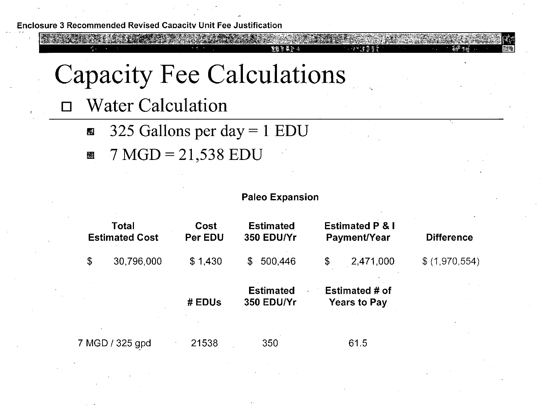# **Capacity Fee Calculations**

- **Water Calculation**  $\Box$ 
	- 325 Gallons per day =  $1$  EDU  $\mathbb{R}^4$
	- $7 MGD = 21,538 EDU$ 韆



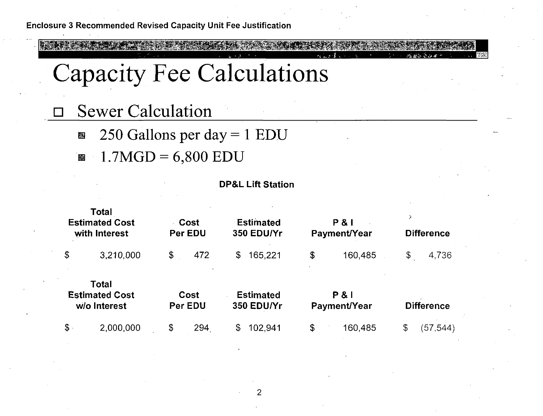## **Capacity Fee Calculations**

- **Sewer Calculation** 
	- 250 Gallons per day =  $1$  EDU 图
	- **1.7MGD** =  $6,800$  EDU



**DP&L Lift Station** 

 $\overline{2}$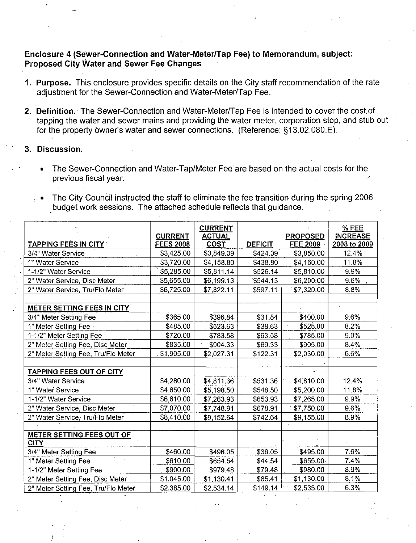## Enclosure 4 (Sewer-Connection and Water-Meter/Tap Fee) to Memorandum, subject: Proposed City Water and Sewer Fee Changes

- Purpose. This enclosure provides specific details on the City staff recommendation of the rate adjustment for the Sewer-Connection and Water-Meter/Tap Fee.
- adjustment for the Sewer-Connection and Water-Meter/Tap Fee.<br> **Definition.** The Sewer-Connection and Water-Meter/Tap Fee is intended to cover the cost of<br>
tapping the water and sewer mains and providing the water meter, co **Purpose.** This enclosure provides specific details on the City staff recommendation adjustment for the Sewer-Connection and Water-Meter/Tap Fee.<br> **Definition.** The Sewer-Connection and Water-Meter/Tap Fee is intended to c

### 3. Discussion.

- The Sewer-Connection and Water-Tap/Meter Fee are based on the actual costs for the previous fiscal year
- The City Council instructed the staff to eliminate the fee transition during the spring 2006 budget work sessions. The attached schedule reflects that guidance.

|                                                 | <b>CURRENT</b>   | <b>CURRENT</b><br><b>ACTUAL</b> |                | <b>PROPOSED</b> | % FEE<br><b>INCREASE</b> |
|-------------------------------------------------|------------------|---------------------------------|----------------|-----------------|--------------------------|
| <b>TAPPING FEES IN CITY</b>                     | <b>FEES 2008</b> | <b>COST</b>                     | <b>DEFICIT</b> | <b>FEE 2009</b> | 2008 to 2009             |
| 3/4" Water Service                              | \$3,425.00       | \$3,849.09                      | \$424.09       | \$3,850.00      | 12.4%                    |
| 1" Water Service                                | \$3,720.00       | \$4,158.80                      | \$438.80       | \$4,160.00      | 11.8%                    |
| 1-1/2" Water Service                            | \$5,285.00       | \$5,811.14                      | \$526.14       | \$5,810.00      | 9.9%                     |
| 2" Water Service, Disc Meter                    | \$5,655.00       | \$6,199.13                      | \$544.13       | \$6,200:00      | 9.6%                     |
| 2" Water Service, Tru/Flo Meter                 | \$6,725.00       | \$7,322.11                      | \$597.11       | \$7,320.00      | 8.8%                     |
| <b>METER SETTING FEES IN CITY</b>               |                  |                                 |                |                 |                          |
| 3/4" Meter Setting Fee                          | \$365.00         | \$396.84                        | \$31.84        | \$400.00        | 9.6%                     |
| 1" Meter Setting Fee                            | \$485.00         | \$523.63                        | \$38.63        | \$525.00        | 8.2%                     |
| 1-1/2" Meter Setting Fee                        | \$720.00         | \$783.58                        | \$63.58        | \$785.00        | 9.0%                     |
| 2" Meter Setting Fee, Disc Meter                | \$835.00         | \$904.33                        | \$69.33        | \$905.00        | 8.4%                     |
| 2" Meter Setting Fee, Tru/Flo Meter             | \$1,905.00       | \$2,027.31                      | \$122.31       | \$2,030.00      | 6.6%                     |
| <b>TAPPING FEES OUT OF CITY</b>                 |                  |                                 |                |                 |                          |
| 3/4" Water Service                              | \$4,280.00       | \$4,811.36                      | \$531.36       | \$4,810.00      | 12.4%                    |
| 1" Water Service                                | \$4,650.00       | \$5,198.50                      | \$548.50       | \$5,200.00      | 11.8%                    |
| 1-1/2" Water Service                            | \$6,610.00       | \$7,263.93                      | \$653.93       | \$7,265.00      | 9.9%                     |
| 2" Water Service, Disc Meter                    | \$7,070.00       | \$7,748.91                      | \$678.91       | \$7,750.00      | 9.6%                     |
| 2" Water Service, Tru/Flo Meter                 | \$8,410.00       | \$9,152.64                      | \$742.64       | \$9,155.00      | 8.9%                     |
| <b>METER SETTING FEES OUT OF</b><br><b>CITY</b> |                  |                                 |                |                 |                          |
| 3/4" Meter Setting Fee                          | \$460.00         | \$496.05                        | \$36.05        | \$495.00        | 7.6%                     |
| 1" Meter Setting Fee                            | \$610.00         | \$654.54                        | \$44.54        | \$655.00        | 7.4%                     |
| 1-1/2" Meter Setting Fee                        | \$900.00         | \$979.48                        | \$79.48        | \$980.00        | $-8.9%$                  |
| 2" Meter Setting Fee, Disc Meter                | \$1,045.00       | \$1,130.41                      | \$85.41        | \$1,130.00      | 8.1%                     |
| 2" Meter Setting Fee, Tru/Flo Meter             | \$2,385.00       | \$2,534.14                      | \$149.14       | \$2,535.00      | 6.3%                     |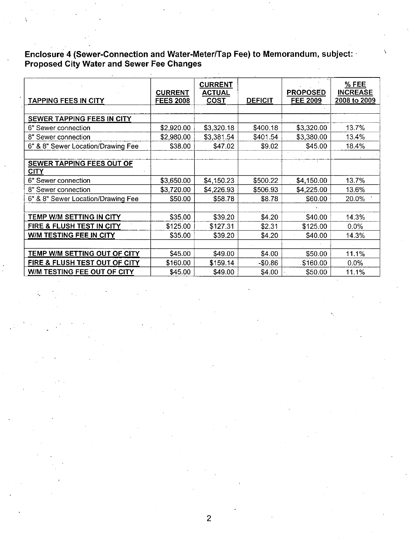Enclosure 4 (Sewer-Connection and Water-Meter/Tap Fee) to Memorandum, subject:<br>Proposed City Water and Sewer Fee Changes

| <b>TAPPING FEES IN CITY</b>        | <b>CURRENT</b><br><b>FEES 2008</b> | <b>CURRENT</b><br><b>ACTUAL</b><br><b>COST</b> | <b>DEFICIT</b> | <b>PROPOSED</b><br><b>FEE 2009</b> | % FEE<br><b>INCREASE</b><br>2008 to 2009 |
|------------------------------------|------------------------------------|------------------------------------------------|----------------|------------------------------------|------------------------------------------|
|                                    |                                    |                                                |                |                                    |                                          |
| SEWER TAPPING FEES IN CITY         |                                    |                                                |                |                                    |                                          |
| 6" Sewer connection                | \$2,920.00                         | \$3,320.18                                     | \$400.18       | \$3,320.00                         | 13.7%                                    |
| 8" Sewer connection                | \$2,980.00                         | \$3,381.54                                     | \$401.54       | \$3,380.00                         | 13.4%                                    |
| 6" & 8" Sewer Location/Drawing Fee | \$38.00                            | \$47.02                                        | \$9.02         | \$45.00                            | 18.4%                                    |
|                                    |                                    |                                                |                |                                    |                                          |
| SEWER TAPPING FEES OUT OF<br>CITY  |                                    |                                                |                |                                    |                                          |
| 6" Sewer connection                | \$3,650.00                         | \$4,150.23                                     | \$500.22       | \$4,150.00                         | 13.7%                                    |
| 8" Sewer connection                | \$3,720.00                         | \$4,226.93                                     | \$506.93       | \$4,225.00                         | 13.6%                                    |
| 6" & 8" Sewer Location/Drawing Fee | \$50.00                            | \$58.78                                        | \$8.78         | \$60.00                            | 20.0%                                    |
|                                    |                                    |                                                |                |                                    |                                          |
| TEMP W/M SETTING IN CITY           | \$35.00                            | \$39.20                                        | \$4.20         | \$40.00                            | 14.3%                                    |
| FIRE & FLUSH TEST IN CITY          | \$125.00                           | \$127.31                                       | \$2.31         | \$125.00                           | 0.0%                                     |
| W/M TESTING FEE IN CITY            | \$35.00                            | \$39.20                                        | \$4.20         | \$40.00                            | 14.3%                                    |
|                                    |                                    |                                                |                |                                    |                                          |
| TEMP W/M SETTING OUT OF CITY       | \$45.00                            | \$49.00                                        | \$4.00         | \$50.00                            | 11.1%                                    |
| FIRE & FLUSH TEST OUT OF CITY      | \$160.00                           | \$159.14                                       | $-$0.86$       | \$160.00                           | 0.0%                                     |
| W/M TESTING FEE OUT OF CITY        | \$45.00                            | \$49.00                                        | \$4.00         | \$50.00                            | 11.1%                                    |
|                                    |                                    |                                                |                |                                    |                                          |

2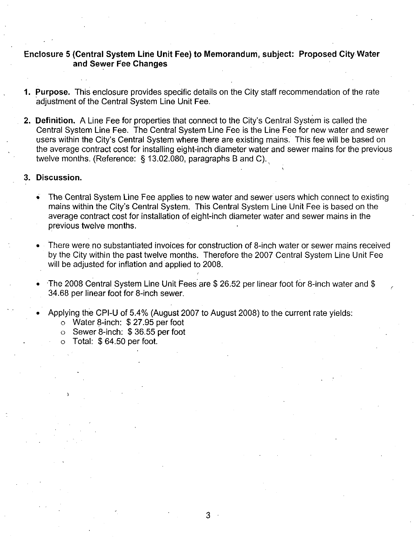## Enclosure 5 (Central System Line Unit Fee) to Memorandum, subject: Proposed City Water and Sewer Fee Changes

- 1. Purpose. This enclosure provides specific details on the City staff recommendation of the rate adjustment of the Central System Line Unit Fee
- 2. **Definition.** A Line Fee for properties that connect to the City's Central System is called the Central System Line Fee. The Central System Line Fee is the Line Fee for new water and sewer 2. Definition. A Line Fee for properties that connect to the City's Central System is called the **Definition.** A Line Fee for properties that connect to the City's Central System is called the Central System Line Fee. The Central System Line Fee is the Line Fee for new water and sewer users within the City's Central S users within the City's Central System where there are existing mains. This fee will be based on

#### 3. Discussion.

- The Central System Line Fee applies to new water and sewer users which connect to existing The Central System Li<br>mains within the City's<br>average contract cost : Central System. This Central System Line Unit Fee is based on the average contract cost for installation of eight-inch diameter water and sewer mains in the previous twelve months
- There were no substantiated invoices for construction of 8-inch water or sewer mains received by the City within the past twelve months. Therefore the 2007 Central System Line Unit Fee will be adjusted for inflation and applied to 2008.
- by the City within the past twelve months. Therefore the 2007 Central System Line Unit<br>will be adjusted for inflation and applied to 2008.<br>The 2008 Central System Line Unit Fees are \$ 26.52 per linear foot for 8-inch water will be adjusted for inflation and appli<br>The 2008 Central System Line Unit F<br>34.68 per linear foot for 8-inch sewer 34.68 per linear foot for 8-inch sewer.<br>Applying the CPI-U of 5.4% (August 2007 to August 2008) to the current rate yields:<br>
○ Water 8-inch: \$ 27.95 per foot

 $3 -$ 

- oo per linear foot for o-firch sewer.<br>Diying the CPI-U of 5.4% (August 2<br>o Water 8-inch: \$ 27.95 per foot<br>o Sewer 8-inch: \$ 36.55 per foot<br>o Total: \$ 64.50 per foot.
	-
	-
	- $\circ$  Total: \$64.50 per foot.